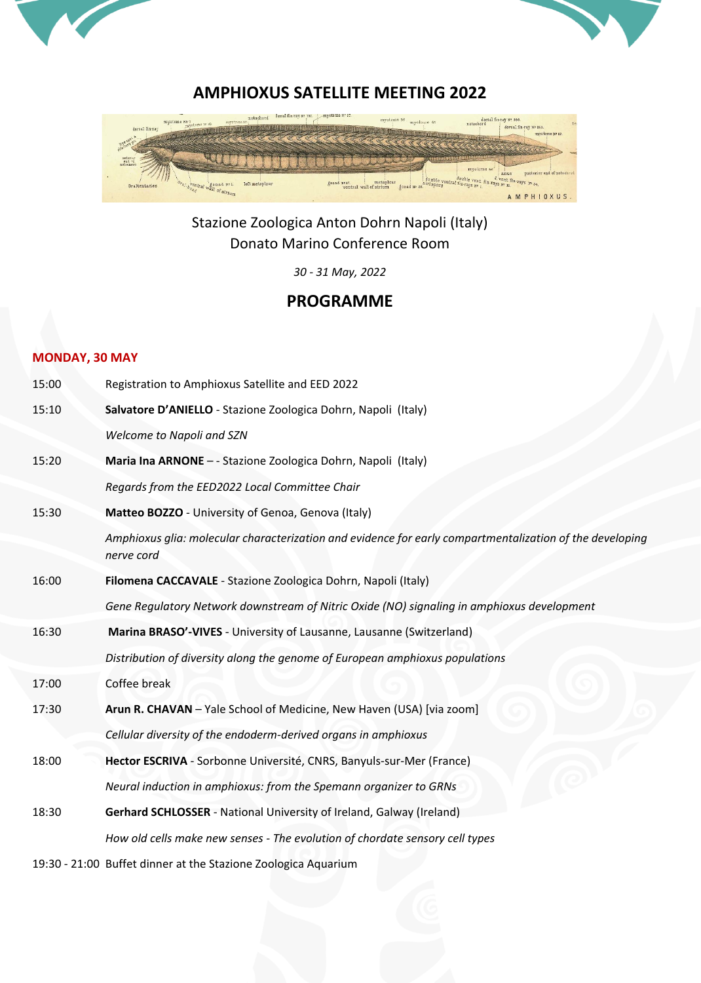



## **AMPHIOXUS SATELLITE MEETING 2022**



Stazione Zoologica Anton Dohrn Napoli (Italy) Donato Marino Conference Room

*30 - 31 May, 2022*

# **PROGRAMME**

## **MONDAY, 30 MAY**

| 15:00 | Registration to Amphioxus Satellite and EED 2022                                                                       |
|-------|------------------------------------------------------------------------------------------------------------------------|
| 15:10 | Salvatore D'ANIELLO - Stazione Zoologica Dohrn, Napoli (Italy)                                                         |
|       | Welcome to Napoli and SZN                                                                                              |
| 15:20 | Maria Ina ARNONE - - Stazione Zoologica Dohrn, Napoli (Italy)                                                          |
|       | Regards from the EED2022 Local Committee Chair                                                                         |
| 15:30 | Matteo BOZZO - University of Genoa, Genova (Italy)                                                                     |
|       | Amphioxus glia: molecular characterization and evidence for early compartmentalization of the developing<br>nerve cord |
| 16:00 | Filomena CACCAVALE - Stazione Zoologica Dohrn, Napoli (Italy)                                                          |
|       | Gene Regulatory Network downstream of Nitric Oxide (NO) signaling in amphioxus development                             |
| 16:30 | Marina BRASO'-VIVES - University of Lausanne, Lausanne (Switzerland)                                                   |
|       | Distribution of diversity along the genome of European amphioxus populations                                           |
| 17:00 | Coffee break                                                                                                           |
| 17:30 | Arun R. CHAVAN - Yale School of Medicine, New Haven (USA) [via zoom]                                                   |
|       | Cellular diversity of the endoderm-derived organs in amphioxus                                                         |
| 18:00 | Hector ESCRIVA - Sorbonne Université, CNRS, Banyuls-sur-Mer (France)                                                   |
|       | Neural induction in amphioxus: from the Spemann organizer to GRNs                                                      |
| 18:30 | Gerhard SCHLOSSER - National University of Ireland, Galway (Ireland)                                                   |
|       | How old cells make new senses - The evolution of chordate sensory cell types                                           |
|       |                                                                                                                        |

19:30 - 21:00 Buffet dinner at the Stazione Zoologica Aquarium